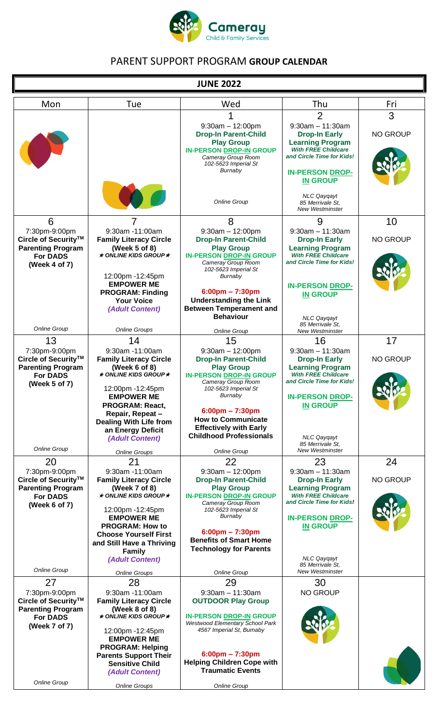

## PARENT SUPPORT PROGRAM **GROUP CALENDAR**

Г

| <b>JUNE 2022</b>                                                                                                       |                                                                                                                                                                                                                                                                                       |                                                                                                                                                                                                                                                                                                              |                                                                                                                                                                                                                               |                       |
|------------------------------------------------------------------------------------------------------------------------|---------------------------------------------------------------------------------------------------------------------------------------------------------------------------------------------------------------------------------------------------------------------------------------|--------------------------------------------------------------------------------------------------------------------------------------------------------------------------------------------------------------------------------------------------------------------------------------------------------------|-------------------------------------------------------------------------------------------------------------------------------------------------------------------------------------------------------------------------------|-----------------------|
| Mon                                                                                                                    | Tue                                                                                                                                                                                                                                                                                   | Wed                                                                                                                                                                                                                                                                                                          | Thu                                                                                                                                                                                                                           | Fri                   |
|                                                                                                                        |                                                                                                                                                                                                                                                                                       | $9:30am - 12:00pm$<br><b>Drop-In Parent-Child</b><br><b>Play Group</b><br><b>IN-PERSON DROP-IN GROUP</b><br>Cameray Group Room<br>102-5623 Imperial St<br>Burnaby                                                                                                                                            | $\overline{2}$<br>$9:30am - 11:30am$<br><b>Drop-In Early</b><br><b>Learning Program</b><br><b>With FREE Childcare</b><br>and Circle Time for Kids!<br><b>IN-PERSON DROP-</b><br><b>IN GROUP</b>                               | 3<br><b>NO GROUP</b>  |
|                                                                                                                        |                                                                                                                                                                                                                                                                                       | <b>Online Group</b>                                                                                                                                                                                                                                                                                          | <b>NLC Qaygayt</b><br>85 Merrivale St.<br><b>New Westminster</b>                                                                                                                                                              |                       |
| 6<br>7:30pm-9:00pm<br>Circle of Security <sup>™</sup><br><b>Parenting Program</b><br><b>For DADS</b><br>(Week 4 of 7)  | 9:30am -11:00am<br><b>Family Literacy Circle</b><br>(Week 5 of 8)<br>$\star$ ONLINE KIDS GROUP $\star$<br>12:00pm -12:45pm<br><b>EMPOWER ME</b><br><b>PROGRAM: Finding</b><br><b>Your Voice</b><br>(Adult Content)                                                                    | 8<br>$9:30am - 12:00pm$<br><b>Drop-In Parent-Child</b><br><b>Play Group</b><br><b>IN-PERSON DROP-IN GROUP</b><br>Cameray Group Room<br>102-5623 Imperial St<br>Burnaby<br>$6:00 \text{pm} - 7:30 \text{pm}$<br><b>Understanding the Link</b><br><b>Between Temperament and</b><br><b>Behaviour</b>           | 9<br>$9:30$ am $-11:30$ am<br><b>Drop-In Early</b><br><b>Learning Program</b><br><b>With FREE Childcare</b><br>and Circle Time for Kids!<br><b>IN-PERSON DROP-</b><br><b>IN GROUP</b><br><b>NLC Qaygayt</b>                   | 10<br><b>NO GROUP</b> |
| <b>Online Group</b>                                                                                                    | <b>Online Groups</b>                                                                                                                                                                                                                                                                  | Online Group                                                                                                                                                                                                                                                                                                 | 85 Merrivale St.<br>New Westminster                                                                                                                                                                                           |                       |
| 13<br>7:30pm-9:00pm<br>Circle of Security™<br><b>Parenting Program</b><br><b>For DADS</b><br>(Week 5 of 7)             | 14<br>9:30am -11:00am<br><b>Family Literacy Circle</b><br>(Week 6 of 8)<br>$\star$ ONLINE KIDS GROUP $\star$<br>12:00pm -12:45pm<br><b>EMPOWER ME</b><br><b>PROGRAM: React,</b><br>Repair, Repeat-<br><b>Dealing With Life from</b><br>an Energy Deficit<br>(Adult Content)           | 15<br>$9:30am - 12:00pm$<br><b>Drop-In Parent-Child</b><br><b>Play Group</b><br><b>IN-PERSON DROP-IN GROUP</b><br>Cameray Group Room<br>102-5623 Imperial St<br>Burnaby<br>$6:00 \text{pm} - 7:30 \text{pm}$<br><b>How to Communicate</b><br><b>Effectively with Early</b><br><b>Childhood Professionals</b> | 16<br>$9:30am - 11:30am$<br><b>Drop-In Early</b><br><b>Learning Program</b><br><b>With FREE Childcare</b><br>and Circle Time for Kids!<br><b>IN-PERSON DROP-</b><br><b>IN GROUP</b><br><b>NLC Qaygayt</b><br>85 Merrivale St. | 17<br><b>NO GROUP</b> |
| <b>Online Group</b>                                                                                                    | <b>Online Groups</b>                                                                                                                                                                                                                                                                  | <b>Online Group</b>                                                                                                                                                                                                                                                                                          | <b>New Westminster</b>                                                                                                                                                                                                        |                       |
| 20<br>7:30pm-9:00pm<br>Circle of Security <sup>™</sup><br><b>Parenting Program</b><br><b>For DADS</b><br>(Week 6 of 7) | 21<br>9:30am -11:00am<br><b>Family Literacy Circle</b><br>(Week 7 of 8)<br>$\star$ ONLINE KIDS GROUP $\star$<br>12:00pm -12:45pm<br><b>EMPOWER ME</b><br><b>PROGRAM: How to</b><br><b>Choose Yourself First</b><br>and Still Have a Thriving<br><b>Family</b>                         | 22<br>$9:30am - 12:00pm$<br><b>Drop-In Parent-Child</b><br><b>Play Group</b><br><b>IN-PERSON DROP-IN GROUP</b><br>Cameray Group Room<br>102-5623 Imperial St<br>Burnaby<br>$6:00$ pm – 7:30pm<br><b>Benefits of Smart Home</b><br><b>Technology for Parents</b>                                              | 23<br>$9:30am - 11:30am$<br><b>Drop-In Early</b><br><b>Learning Program</b><br><b>With FREE Childcare</b><br>and Circle Time for Kids!<br><b>IN-PERSON DROP-</b><br><b>IN GROUP</b><br><b>NLC Qaygayt</b>                     | 24<br><b>NO GROUP</b> |
| <b>Online Group</b>                                                                                                    | (Adult Content)                                                                                                                                                                                                                                                                       |                                                                                                                                                                                                                                                                                                              | 85 Merrivale St.<br><b>New Westminster</b>                                                                                                                                                                                    |                       |
| 27<br>7:30pm-9:00pm<br>Circle of Security™<br><b>Parenting Program</b><br><b>For DADS</b><br>(Week 7 of 7)             | <b>Online Groups</b><br>28<br>9:30am -11:00am<br><b>Family Literacy Circle</b><br>(Week 8 of 8)<br>$\star$ ONLINE KIDS GROUP $\star$<br>12:00pm -12:45pm<br><b>EMPOWER ME</b><br><b>PROGRAM: Helping</b><br><b>Parents Support Their</b><br><b>Sensitive Child</b><br>(Adult Content) | <b>Online Group</b><br>29<br>$9:30$ am $-11:30$ am<br><b>OUTDOOR Play Group</b><br><b>IN-PERSON DROP-IN GROUP</b><br>Westwood Elementary School Park<br>4567 Imperial St, Burnaby<br>$6:00$ pm – $7:30$ pm<br><b>Helping Children Cope with</b><br><b>Traumatic Events</b>                                   | 30<br><b>NO GROUP</b>                                                                                                                                                                                                         |                       |
| <b>Online Group</b>                                                                                                    | <b>Online Groups</b>                                                                                                                                                                                                                                                                  | Online Group                                                                                                                                                                                                                                                                                                 |                                                                                                                                                                                                                               |                       |